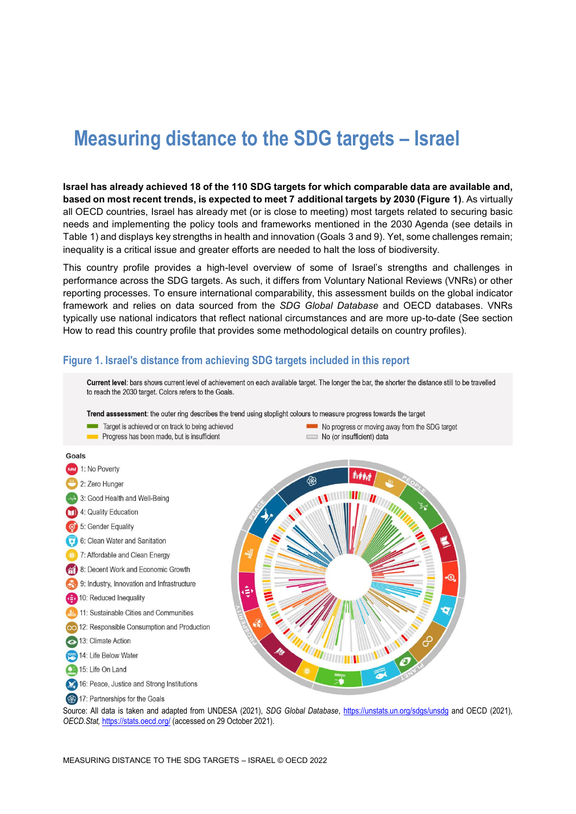# **Measuring distance to the SDG targets – Israel**

**Israel has already achieved 18 of the 110 SDG targets for which comparable data are available and, based on most recent trends, is expected to meet 7 additional targets by 2030 [\(Figure](#page-0-0) 1)**. As virtually all OECD countries, Israel has already met (or is close to meeting) most targets related to securing basic needs and implementing the policy tools and frameworks mentioned in the 2030 Agenda (see details in [Table](#page-2-0) 1) and displays key strengths in health and innovation (Goals 3 and 9). Yet, some challenges remain; inequality is a critical issue and greater efforts are needed to halt the loss of biodiversity.

This country profile provides a high-level overview of some of Israel's strengths and challenges in performance across the SDG targets. As such, it differs from Voluntary National Reviews (VNRs) or other reporting processes. To ensure international comparability, this assessment builds on the global indicator framework and relies on data sourced from the *SDG Global Database* and OECD databases. VNRs typically use national indicators that reflect national circumstances and are more up-to-date (See section [How to read this](#page-6-0) country profile that provides some methodological details on country profiles).

#### <span id="page-0-0"></span>**Figure 1. Israel's distance from achieving SDG targets included in this report**

Current level: bars shows current level of achievement on each available target. The longer the bar, the shorter the distance still to be travelled to reach the 2030 target. Colors refers to the Goals. Trend asssessment: the outer ring describes the trend using stoplight colours to measure progress towards the target Target is achieved or on track to being achieved No progress or moving away from the SDG target Progress has been made, but is insufficient No (or insufficient) data Goals **AND** 1: No Poverty 2: Zero Hunger 4 3: Good Health and Well-Being 4: Quality Education 5: Gender Equality 6: Clean Water and Sanitation 7: Affordable and Clean Energy 8: Decent Work and Economic Growth 9: Industry, Innovation and Infrastructure 10: Reduced Inequality 11: Sustainable Cities and Communities 12: Responsible Consumption and Production 13: Climate Action 14: Life Below Water 15: Life On Land 16: Peace, Justice and Strong Institutions

17: Partnerships for the Goals

Source: All data is taken and adapted from UNDESA (2021), *SDG Global Database*,<https://unstats.un.org/sdgs/unsdg> and OECD (2021), *OECD.Stat,* <https://stats.oecd.org/> (accessed on 29 October 2021).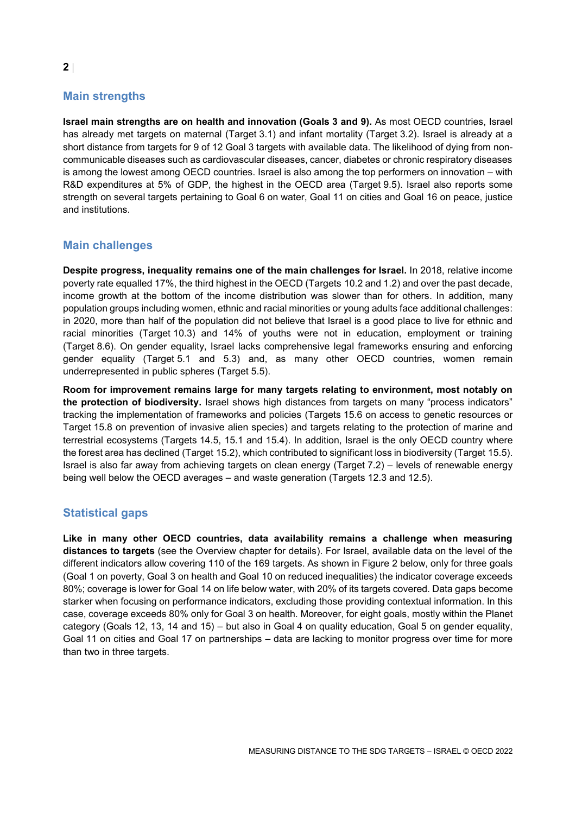# **Main strengths**

**Israel main strengths are on health and innovation (Goals 3 and 9).** As most OECD countries, Israel has already met targets on maternal (Target 3.1) and infant mortality (Target 3.2). Israel is already at a short distance from targets for 9 of 12 Goal 3 targets with available data. The likelihood of dying from noncommunicable diseases such as cardiovascular diseases, cancer, diabetes or chronic respiratory diseases is among the lowest among OECD countries. Israel is also among the top performers on innovation – with R&D expenditures at 5% of GDP, the highest in the OECD area (Target 9.5). Israel also reports some strength on several targets pertaining to Goal 6 on water, Goal 11 on cities and Goal 16 on peace, justice and institutions.

# **Main challenges**

**Despite progress, inequality remains one of the main challenges for Israel.** In 2018, relative income poverty rate equalled 17%, the third highest in the OECD (Targets 10.2 and 1.2) and over the past decade, income growth at the bottom of the income distribution was slower than for others. In addition, many population groups including women, ethnic and racial minorities or young adults face additional challenges: in 2020, more than half of the population did not believe that Israel is a good place to live for ethnic and racial minorities (Target 10.3) and 14% of youths were not in education, employment or training (Target 8.6). On gender equality, Israel lacks comprehensive legal frameworks ensuring and enforcing gender equality (Target 5.1 and 5.3) and, as many other OECD countries, women remain underrepresented in public spheres (Target 5.5).

**Room for improvement remains large for many targets relating to environment, most notably on the protection of biodiversity.** Israel shows high distances from targets on many "process indicators" tracking the implementation of frameworks and policies (Targets 15.6 on access to genetic resources or Target 15.8 on prevention of invasive alien species) and targets relating to the protection of marine and terrestrial ecosystems (Targets 14.5, 15.1 and 15.4). In addition, Israel is the only OECD country where the forest area has declined (Target 15.2), which contributed to significant loss in biodiversity (Target 15.5). Israel is also far away from achieving targets on clean energy (Target 7.2) – levels of renewable energy being well below the OECD averages – and waste generation (Targets 12.3 and 12.5).

# **Statistical gaps**

**Like in many other OECD countries, data availability remains a challenge when measuring distances to targets** (see the Overview chapter for details). For Israel, available data on the level of the different indicators allow covering 110 of the 169 targets. As shown in [Figure](#page-2-1) 2 below, only for three goals (Goal 1 on poverty, Goal 3 on health and Goal 10 on reduced inequalities) the indicator coverage exceeds 80%; coverage is lower for Goal 14 on life below water, with 20% of its targets covered. Data gaps become starker when focusing on performance indicators, excluding those providing contextual information. In this case, coverage exceeds 80% only for Goal 3 on health. Moreover, for eight goals, mostly within the Planet category (Goals 12, 13, 14 and 15) – but also in Goal 4 on quality education, Goal 5 on gender equality, Goal 11 on cities and Goal 17 on partnerships – data are lacking to monitor progress over time for more than two in three targets.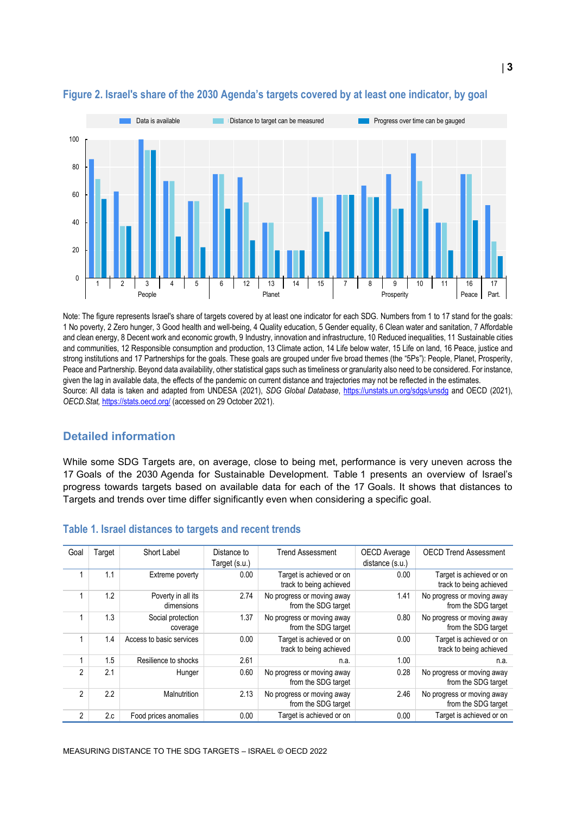

### <span id="page-2-1"></span>**Figure 2. Israel's share of the 2030 Agenda's targets covered by at least one indicator, by goal**

Note: The figure represents Israel's share of targets covered by at least one indicator for each SDG. Numbers from 1 to 17 stand for the goals: 1 No poverty, 2 Zero hunger, 3 Good health and well-being, 4 Quality education, 5 Gender equality, 6 Clean water and sanitation, 7 Affordable and clean energy, 8 Decent work and economic growth, 9 Industry, innovation and infrastructure, 10 Reduced inequalities, 11 Sustainable cities and communities, 12 Responsible consumption and production, 13 Climate action, 14 Life below water, 15 Life on land, 16 Peace, justice and strong institutions and 17 Partnerships for the goals. These goals are grouped under five broad themes (the "5Ps"): People, Planet, Prosperity, Peace and Partnership. Beyond data availability, other statistical gaps such as timeliness or granularity also need to be considered. For instance, given the lag in available data, the effects of the pandemic on current distance and trajectories may not be reflected in the estimates. Source: All data is taken and adapted from UNDESA (2021), *SDG Global Database*,<https://unstats.un.org/sdgs/unsdg> and OECD (2021), *OECD.Stat,* <https://stats.oecd.org/> (accessed on 29 October 2021).

# **Detailed information**

While some SDG Targets are, on average, close to being met, performance is very uneven across the 17 Goals of the 2030 Agenda for Sustainable Development. [Table](#page-2-0) 1 presents an overview of Israel's progress towards targets based on available data for each of the 17 Goals. It shows that distances to Targets and trends over time differ significantly even when considering a specific goal.

| Goal           | Target | Short Label                      | Distance to   | <b>Trend Assessment</b>                             | <b>OECD</b> Average | <b>OECD Trend Assessment</b>                        |
|----------------|--------|----------------------------------|---------------|-----------------------------------------------------|---------------------|-----------------------------------------------------|
|                |        |                                  | Target (s.u.) |                                                     | distance (s.u.)     |                                                     |
|                | 1.1    | Extreme poverty                  | 0.00          | Target is achieved or on<br>track to being achieved | 0.00                | Target is achieved or on<br>track to being achieved |
|                | 1.2    | Poverty in all its<br>dimensions | 2.74          | No progress or moving away<br>from the SDG target   | 1.41                | No progress or moving away<br>from the SDG target   |
|                | 1.3    | Social protection<br>coverage    | 1.37          | No progress or moving away<br>from the SDG target   | 0.80                | No progress or moving away<br>from the SDG target   |
|                | 1.4    | Access to basic services         | 0.00          | Target is achieved or on<br>track to being achieved | 0.00                | Target is achieved or on<br>track to being achieved |
|                | 1.5    | Resilience to shocks             | 2.61          | n.a.                                                | 1.00                | n.a.                                                |
| $\overline{2}$ | 2.1    | Hunger                           | 0.60          | No progress or moving away<br>from the SDG target   | 0.28                | No progress or moving away<br>from the SDG target   |
| $\mathfrak{p}$ | 2.2    | <b>Malnutrition</b>              | 2.13          | No progress or moving away<br>from the SDG target   | 2.46                | No progress or moving away<br>from the SDG target   |
| $\overline{2}$ | 2.c    | Food prices anomalies            | 0.00          | Target is achieved or on                            | 0.00                | Target is achieved or on                            |

#### <span id="page-2-0"></span>**Table 1. Israel distances to targets and recent trends**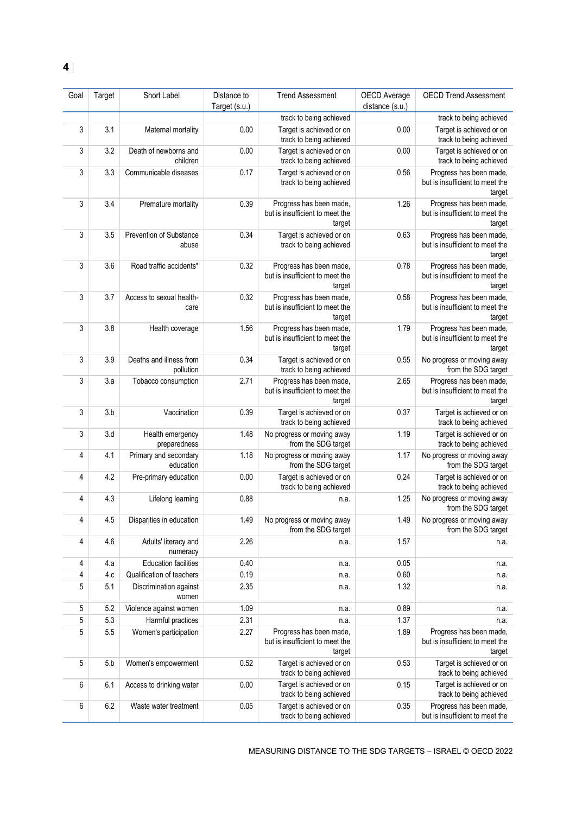**4**

| Goal | Target | Short Label                          | Distance to<br>Target (s.u.) | <b>Trend Assessment</b>                                              | <b>OECD</b> Average<br>distance (s.u.) | <b>OECD Trend Assessment</b>                                         |
|------|--------|--------------------------------------|------------------------------|----------------------------------------------------------------------|----------------------------------------|----------------------------------------------------------------------|
|      |        |                                      |                              | track to being achieved                                              |                                        | track to being achieved                                              |
| 3    | 3.1    | Maternal mortality                   | 0.00                         | Target is achieved or on<br>track to being achieved                  | 0.00                                   | Target is achieved or on<br>track to being achieved                  |
| 3    | 3.2    | Death of newborns and<br>children    | 0.00                         | Target is achieved or on<br>track to being achieved                  | 0.00                                   | Target is achieved or on<br>track to being achieved                  |
| 3    | 3.3    | Communicable diseases                | 0.17                         | Target is achieved or on<br>track to being achieved                  | 0.56                                   | Progress has been made,<br>but is insufficient to meet the<br>target |
| 3    | 3.4    | Premature mortality                  | 0.39                         | Progress has been made,<br>but is insufficient to meet the<br>target | 1.26                                   | Progress has been made,<br>but is insufficient to meet the<br>target |
| 3    | 3.5    | Prevention of Substance<br>abuse     | 0.34                         | Target is achieved or on<br>track to being achieved                  | 0.63                                   | Progress has been made,<br>but is insufficient to meet the<br>target |
| 3    | 3.6    | Road traffic accidents*              | 0.32                         | Progress has been made,<br>but is insufficient to meet the<br>target | 0.78                                   | Progress has been made,<br>but is insufficient to meet the<br>target |
| 3    | 3.7    | Access to sexual health-<br>care     | 0.32                         | Progress has been made,<br>but is insufficient to meet the<br>target | 0.58                                   | Progress has been made,<br>but is insufficient to meet the<br>target |
| 3    | 3.8    | Health coverage                      | 1.56                         | Progress has been made,<br>but is insufficient to meet the<br>target | 1.79                                   | Progress has been made,<br>but is insufficient to meet the<br>target |
| 3    | 3.9    | Deaths and illness from<br>pollution | 0.34                         | Target is achieved or on<br>track to being achieved                  | 0.55                                   | No progress or moving away<br>from the SDG target                    |
| 3    | 3.a    | Tobacco consumption                  | 2.71                         | Progress has been made,<br>but is insufficient to meet the<br>target | 2.65                                   | Progress has been made,<br>but is insufficient to meet the<br>target |
| 3    | 3.b    | Vaccination                          | 0.39                         | Target is achieved or on<br>track to being achieved                  | 0.37                                   | Target is achieved or on<br>track to being achieved                  |
| 3    | 3.d    | Health emergency<br>preparedness     | 1.48                         | No progress or moving away<br>from the SDG target                    | 1.19                                   | Target is achieved or on<br>track to being achieved                  |
| 4    | 4.1    | Primary and secondary<br>education   | 1.18                         | No progress or moving away<br>from the SDG target                    | 1.17                                   | No progress or moving away<br>from the SDG target                    |
| 4    | 4.2    | Pre-primary education                | 0.00                         | Target is achieved or on<br>track to being achieved                  | 0.24                                   | Target is achieved or on<br>track to being achieved                  |
| 4    | 4.3    | Lifelong learning                    | 0.88                         | n.a.                                                                 | 1.25                                   | No progress or moving away<br>from the SDG target                    |
| 4    | 4.5    | Disparities in education             | 1.49                         | No progress or moving away<br>from the SDG target                    | 1.49                                   | No progress or moving away<br>from the SDG target                    |
| 4    | 4.6    | Adults' literacy and<br>numeracy     | 2.26                         | n.a.                                                                 | 1.57                                   | n.a.                                                                 |
| 4    | 4.a    | <b>Education facilities</b>          | 0.40                         | n.a.                                                                 | 0.05                                   | n.a.                                                                 |
| 4    | 4.c    | Qualification of teachers            | 0.19                         | n.a.                                                                 | 0.60                                   | n.a.                                                                 |
| 5    | 5.1    | Discrimination against<br>women      | 2.35                         | n.a.                                                                 | 1.32                                   | n.a.                                                                 |
| 5    | 5.2    | Violence against women               | 1.09                         | n.a.                                                                 | 0.89                                   | n.a.                                                                 |
| 5    | 5.3    | Harmful practices                    | 2.31                         | n.a.                                                                 | 1.37                                   | n.a.                                                                 |
| 5    | 5.5    | Women's participation                | 2.27                         | Progress has been made,<br>but is insufficient to meet the<br>target | 1.89                                   | Progress has been made,<br>but is insufficient to meet the<br>target |
| 5    | 5.b    | Women's empowerment                  | 0.52                         | Target is achieved or on<br>track to being achieved                  | 0.53                                   | Target is achieved or on<br>track to being achieved                  |
| 6    | 6.1    | Access to drinking water             | 0.00                         | Target is achieved or on<br>track to being achieved                  | 0.15                                   | Target is achieved or on<br>track to being achieved                  |
| 6    | 6.2    | Waste water treatment                | 0.05                         | Target is achieved or on<br>track to being achieved                  | 0.35                                   | Progress has been made,<br>but is insufficient to meet the           |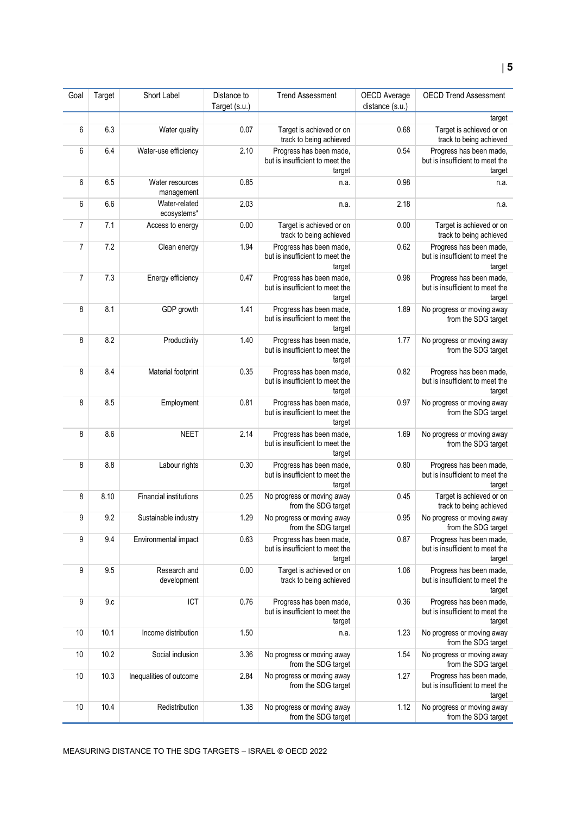#### Goal Target Short Label Distance to Target (s.u.) Trend Assessment | OECD Average distance (s.u.) OECD Trend Assessment 6 6.3 Water quality 0.07 Target is achieved or on track to being achieved 0.68 Target is achieved or on track to being achieved 6 6.4 Water-use efficiency 2.10 Progress has been made, but is insufficient to meet the target 0.54 Progress has been made track to being achieved

|    |      |                               |      | $1.1$ vyrvou nau poun mauv,<br>but is insufficient to meet the<br>target | v.v. | $1.1$ vyrobo nab boon maab,<br>but is insufficient to meet the<br>target |
|----|------|-------------------------------|------|--------------------------------------------------------------------------|------|--------------------------------------------------------------------------|
| 6  | 6.5  | Water resources<br>management | 0.85 | n.a.                                                                     | 0.98 | n.a.                                                                     |
| 6  | 6.6  | Water-related<br>ecosystems*  | 2.03 | n.a.                                                                     | 2.18 | n.a.                                                                     |
| 7  | 7.1  | Access to energy              | 0.00 | Target is achieved or on<br>track to being achieved                      | 0.00 | Target is achieved or on<br>track to being achieved                      |
| 7  | 7.2  | Clean energy                  | 1.94 | Progress has been made,<br>but is insufficient to meet the<br>target     | 0.62 | Progress has been made,<br>but is insufficient to meet the<br>target     |
| 7  | 7.3  | Energy efficiency             | 0.47 | Progress has been made,<br>but is insufficient to meet the<br>target     | 0.98 | Progress has been made,<br>but is insufficient to meet the<br>target     |
| 8  | 8.1  | GDP growth                    | 1.41 | Progress has been made,<br>but is insufficient to meet the<br>target     | 1.89 | No progress or moving away<br>from the SDG target                        |
| 8  | 8.2  | Productivity                  | 1.40 | Progress has been made,<br>but is insufficient to meet the<br>target     | 1.77 | No progress or moving away<br>from the SDG target                        |
| 8  | 8.4  | Material footprint            | 0.35 | Progress has been made,<br>but is insufficient to meet the<br>target     | 0.82 | Progress has been made,<br>but is insufficient to meet the<br>target     |
| 8  | 8.5  | Employment                    | 0.81 | Progress has been made,<br>but is insufficient to meet the<br>target     | 0.97 | No progress or moving away<br>from the SDG target                        |
| 8  | 8.6  | <b>NEET</b>                   | 2.14 | Progress has been made,<br>but is insufficient to meet the<br>target     | 1.69 | No progress or moving away<br>from the SDG target                        |
| 8  | 8.8  | Labour rights                 | 0.30 | Progress has been made,<br>but is insufficient to meet the<br>target     | 0.80 | Progress has been made,<br>but is insufficient to meet the<br>target     |
| 8  | 8.10 | <b>Financial institutions</b> | 0.25 | No progress or moving away<br>from the SDG target                        | 0.45 | Target is achieved or on<br>track to being achieved                      |
| 9  | 9.2  | Sustainable industry          | 1.29 | No progress or moving away<br>from the SDG target                        | 0.95 | No progress or moving away<br>from the SDG target                        |
| 9  | 9.4  | Environmental impact          | 0.63 | Progress has been made,<br>but is insufficient to meet the<br>target     | 0.87 | Progress has been made,<br>but is insufficient to meet the<br>target     |
| 9  | 9.5  | Research and<br>development   | 0.00 | Target is achieved or on<br>track to being achieved                      | 1.06 | Progress has been made,<br>but is insufficient to meet the<br>target     |
| 9  | 9.c  | ICT                           | 0.76 | Progress has been made,<br>but is insufficient to meet the<br>target     | 0.36 | Progress has been made,<br>but is insufficient to meet the<br>target     |
| 10 | 10.1 | Income distribution           | 1.50 | n.a.                                                                     | 1.23 | No progress or moving away<br>from the SDG target                        |
| 10 | 10.2 | Social inclusion              | 3.36 | No progress or moving away<br>from the SDG target                        | 1.54 | No progress or moving away<br>from the SDG target                        |
| 10 | 10.3 | Inequalities of outcome       | 2.84 | No progress or moving away<br>from the SDG target                        | 1.27 | Progress has been made,<br>but is insufficient to meet the<br>target     |
| 10 | 10.4 | Redistribution                | 1.38 | No progress or moving away<br>from the SDG target                        | 1.12 | No progress or moving away<br>from the SDG target                        |

target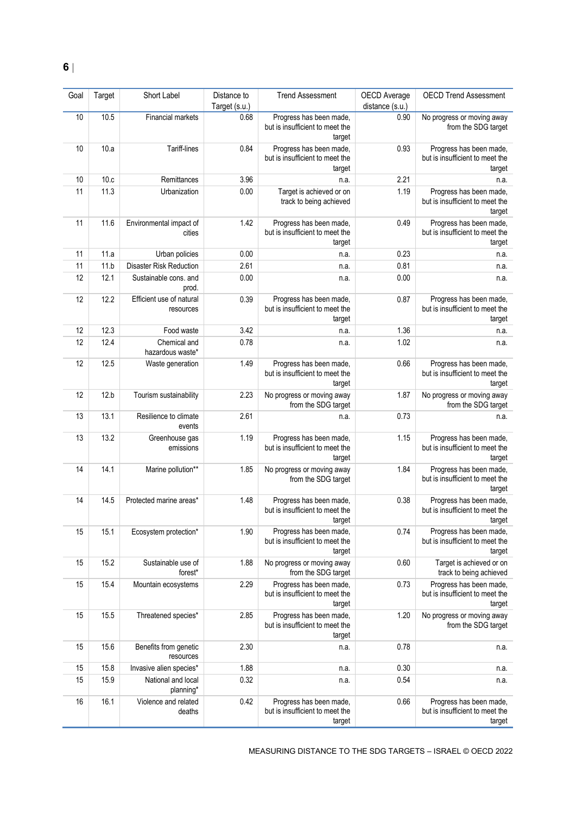| Goal | Target | Short Label                           | Distance to<br>Target (s.u.) | <b>Trend Assessment</b>                                              | OECD Average<br>distance (s.u.) | <b>OECD Trend Assessment</b>                                         |
|------|--------|---------------------------------------|------------------------------|----------------------------------------------------------------------|---------------------------------|----------------------------------------------------------------------|
| 10   | 10.5   | Financial markets                     | 0.68                         | Progress has been made,<br>but is insufficient to meet the<br>target | 0.90                            | No progress or moving away<br>from the SDG target                    |
| 10   | 10.a   | Tariff-lines                          | 0.84                         | Progress has been made,<br>but is insufficient to meet the<br>target | 0.93                            | Progress has been made,<br>but is insufficient to meet the<br>target |
| 10   | 10.c   | Remittances                           | 3.96                         | n.a.                                                                 | 2.21                            | n.a.                                                                 |
| 11   | 11.3   | Urbanization                          | 0.00                         | Target is achieved or on<br>track to being achieved                  | 1.19                            | Progress has been made,<br>but is insufficient to meet the<br>target |
| 11   | 11.6   | Environmental impact of<br>cities     | 1.42                         | Progress has been made,<br>but is insufficient to meet the<br>target | 0.49                            | Progress has been made,<br>but is insufficient to meet the<br>target |
| 11   | 11.a   | Urban policies                        | 0.00                         | n.a.                                                                 | 0.23                            | n.a.                                                                 |
| 11   | 11.b   | <b>Disaster Risk Reduction</b>        | 2.61                         | n.a.                                                                 | 0.81                            | n.a.                                                                 |
| 12   | 12.1   | Sustainable cons. and<br>prod.        | 0.00                         | n.a.                                                                 | 0.00                            | n.a.                                                                 |
| 12   | 12.2   | Efficient use of natural<br>resources | 0.39                         | Progress has been made,<br>but is insufficient to meet the<br>target | 0.87                            | Progress has been made,<br>but is insufficient to meet the<br>target |
| 12   | 12.3   | Food waste                            | 3.42                         | n.a.                                                                 | 1.36                            | n.a.                                                                 |
| 12   | 12.4   | Chemical and<br>hazardous waste*      | 0.78                         | n.a.                                                                 | 1.02                            | n.a.                                                                 |
| 12   | 12.5   | Waste generation                      | 1.49                         | Progress has been made,<br>but is insufficient to meet the<br>target | 0.66                            | Progress has been made,<br>but is insufficient to meet the<br>target |
| 12   | 12.b   | Tourism sustainability                | 2.23                         | No progress or moving away<br>from the SDG target                    | 1.87                            | No progress or moving away<br>from the SDG target                    |
| 13   | 13.1   | Resilience to climate<br>events       | 2.61                         | n.a.                                                                 | 0.73                            | n.a.                                                                 |
| 13   | 13.2   | Greenhouse gas<br>emissions           | 1.19                         | Progress has been made,<br>but is insufficient to meet the<br>target | 1.15                            | Progress has been made,<br>but is insufficient to meet the<br>target |
| 14   | 14.1   | Marine pollution**                    | 1.85                         | No progress or moving away<br>from the SDG target                    | 1.84                            | Progress has been made,<br>but is insufficient to meet the<br>target |
| 14   | 14.5   | Protected marine areas*               | 1.48                         | Progress has been made,<br>but is insufficient to meet the<br>target | 0.38                            | Progress has been made,<br>but is insufficient to meet the<br>target |
| 15   | 15.1   | Ecosystem protection*                 | 1.90                         | Progress has been made,<br>but is insufficient to meet the<br>target | 0.74                            | Progress has been made,<br>but is insufficient to meet the<br>target |
| 15   | 15.2   | Sustainable use of<br>forest*         | 1.88                         | No progress or moving away<br>from the SDG target                    | 0.60                            | Target is achieved or on<br>track to being achieved                  |
| 15   | 15.4   | Mountain ecosystems                   | 2.29                         | Progress has been made,<br>but is insufficient to meet the<br>target | 0.73                            | Progress has been made,<br>but is insufficient to meet the<br>target |
| 15   | 15.5   | Threatened species*                   | 2.85                         | Progress has been made,<br>but is insufficient to meet the<br>target | 1.20                            | No progress or moving away<br>from the SDG target                    |
| 15   | 15.6   | Benefits from genetic<br>resources    | 2.30                         | n.a.                                                                 | 0.78                            | n.a.                                                                 |
| 15   | 15.8   | Invasive alien species*               | 1.88                         | n.a.                                                                 | 0.30                            | n.a.                                                                 |
| 15   | 15.9   | National and local<br>planning*       | 0.32                         | n.a.                                                                 | 0.54                            | n.a.                                                                 |
| 16   | 16.1   | Violence and related<br>deaths        | 0.42                         | Progress has been made,<br>but is insufficient to meet the<br>target | 0.66                            | Progress has been made,<br>but is insufficient to meet the<br>target |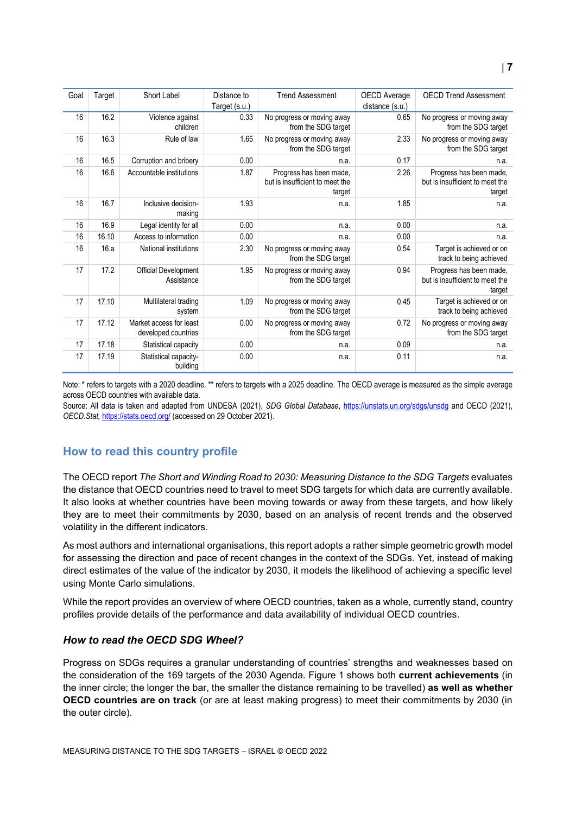| Goal | Target | Short Label                                    | Distance to   | <b>Trend Assessment</b>                                              | OECD Average    | <b>OECD Trend Assessment</b>                                         |
|------|--------|------------------------------------------------|---------------|----------------------------------------------------------------------|-----------------|----------------------------------------------------------------------|
|      |        |                                                | Target (s.u.) |                                                                      | distance (s.u.) |                                                                      |
| 16   | 16.2   | Violence against                               | 0.33          | No progress or moving away                                           | 0.65            | No progress or moving away                                           |
|      |        | children                                       |               | from the SDG target                                                  |                 | from the SDG target                                                  |
| 16   | 16.3   | Rule of law                                    | 1.65          | No progress or moving away<br>from the SDG target                    | 2.33            | No progress or moving away<br>from the SDG target                    |
| 16   | 16.5   | Corruption and bribery                         | 0.00          | n.a.                                                                 | 0.17            | n.a.                                                                 |
| 16   | 16.6   | Accountable institutions                       | 1.87          | Progress has been made,<br>but is insufficient to meet the<br>target | 2.26            | Progress has been made,<br>but is insufficient to meet the<br>target |
| 16   | 16.7   | Inclusive decision-<br>making                  | 1.93          | n.a.                                                                 | 1.85            | n.a.                                                                 |
| 16   | 16.9   | Legal identity for all                         | 0.00          | n.a.                                                                 | 0.00            | n.a.                                                                 |
| 16   | 16.10  | Access to information                          | 0.00          | n.a.                                                                 | 0.00            | n.a.                                                                 |
| 16   | 16.a   | National institutions                          | 2.30          | No progress or moving away<br>from the SDG target                    | 0.54            | Target is achieved or on<br>track to being achieved                  |
| 17   | 17.2   | Official Development<br>Assistance             | 1.95          | No progress or moving away<br>from the SDG target                    | 0.94            | Progress has been made,<br>but is insufficient to meet the<br>target |
| 17   | 17.10  | Multilateral trading<br>system                 | 1.09          | No progress or moving away<br>from the SDG target                    | 0.45            | Target is achieved or on<br>track to being achieved                  |
| 17   | 17.12  | Market access for least<br>developed countries | 0.00          | No progress or moving away<br>from the SDG target                    | 0.72            | No progress or moving away<br>from the SDG target                    |
| 17   | 17.18  | Statistical capacity                           | 0.00          | n.a.                                                                 | 0.09            | n.a.                                                                 |
| 17   | 17.19  | Statistical capacity-<br>building              | 0.00          | n.a.                                                                 | 0.11            | n.a.                                                                 |

Note: \* refers to targets with a 2020 deadline. \*\* refers to targets with a 2025 deadline. The OECD average is measured as the simple average across OECD countries with available data.

Source: All data is taken and adapted from UNDESA (2021), *SDG Global Database*,<https://unstats.un.org/sdgs/unsdg> and OECD (2021), *OECD.Stat,* <https://stats.oecd.org/> (accessed on 29 October 2021).

# <span id="page-6-0"></span>**How to read this country profile**

The OECD report *The Short and Winding Road to 2030: Measuring Distance to the SDG Targets* evaluates the distance that OECD countries need to travel to meet SDG targets for which data are currently available. It also looks at whether countries have been moving towards or away from these targets, and how likely they are to meet their commitments by 2030, based on an analysis of recent trends and the observed volatility in the different indicators.

As most authors and international organisations, this report adopts a rather simple geometric growth model for assessing the direction and pace of recent changes in the context of the SDGs. Yet, instead of making direct estimates of the value of the indicator by 2030, it models the likelihood of achieving a specific level using Monte Carlo simulations.

While the report provides an overview of where OECD countries, taken as a whole, currently stand, country profiles provide details of the performance and data availability of individual OECD countries.

# *How to read the OECD SDG Wheel?*

Progress on SDGs requires a granular understanding of countries' strengths and weaknesses based on the consideration of the 169 targets of the 2030 Agenda. [Figure](#page-0-0) 1 shows both **current achievements** (in the inner circle; the longer the bar, the smaller the distance remaining to be travelled) **as well as whether OECD countries are on track** (or are at least making progress) to meet their commitments by 2030 (in the outer circle).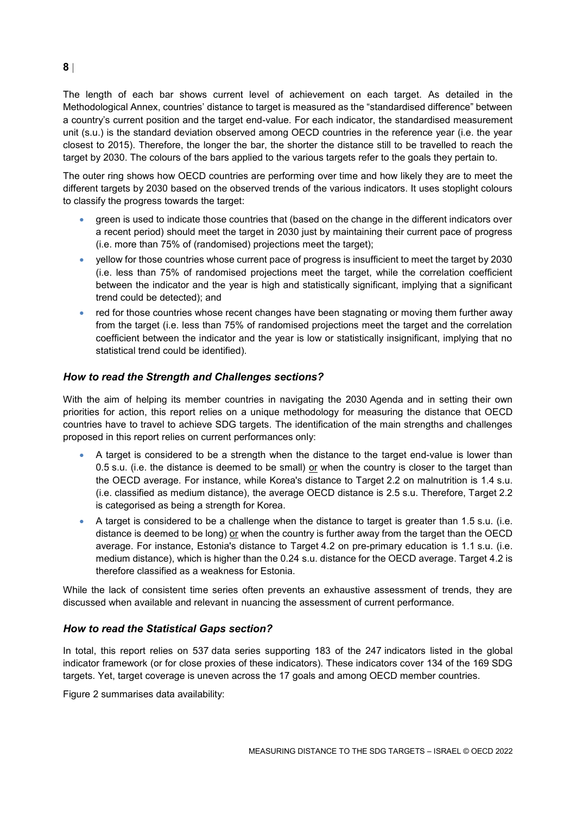The length of each bar shows current level of achievement on each target. As detailed in the Methodological Annex, countries' distance to target is measured as the "standardised difference" between a country's current position and the target end-value. For each indicator, the standardised measurement unit (s.u.) is the standard deviation observed among OECD countries in the reference year (i.e. the year closest to 2015). Therefore, the longer the bar, the shorter the distance still to be travelled to reach the target by 2030. The colours of the bars applied to the various targets refer to the goals they pertain to.

The outer ring shows how OECD countries are performing over time and how likely they are to meet the different targets by 2030 based on the observed trends of the various indicators. It uses stoplight colours to classify the progress towards the target:

- green is used to indicate those countries that (based on the change in the different indicators over a recent period) should meet the target in 2030 just by maintaining their current pace of progress (i.e. more than 75% of (randomised) projections meet the target);
- yellow for those countries whose current pace of progress is insufficient to meet the target by 2030 (i.e. less than 75% of randomised projections meet the target, while the correlation coefficient between the indicator and the year is high and statistically significant, implying that a significant trend could be detected); and
- red for those countries whose recent changes have been stagnating or moving them further away from the target (i.e. less than 75% of randomised projections meet the target and the correlation coefficient between the indicator and the year is low or statistically insignificant, implying that no statistical trend could be identified).

# *How to read the Strength and Challenges sections?*

With the aim of helping its member countries in navigating the 2030 Agenda and in setting their own priorities for action, this report relies on a unique methodology for measuring the distance that OECD countries have to travel to achieve SDG targets. The identification of the main strengths and challenges proposed in this report relies on current performances only:

- A target is considered to be a strength when the distance to the target end-value is lower than 0.5 s.u. (i.e. the distance is deemed to be small) or when the country is closer to the target than the OECD average. For instance, while Korea's distance to Target 2.2 on malnutrition is 1.4 s.u. (i.e. classified as medium distance), the average OECD distance is 2.5 s.u. Therefore, Target 2.2 is categorised as being a strength for Korea.
- A target is considered to be a challenge when the distance to target is greater than 1.5 s.u. (i.e. distance is deemed to be long) or when the country is further away from the target than the OECD average. For instance, Estonia's distance to Target 4.2 on pre-primary education is 1.1 s.u. (i.e. medium distance), which is higher than the 0.24 s.u. distance for the OECD average. Target 4.2 is therefore classified as a weakness for Estonia.

While the lack of consistent time series often prevents an exhaustive assessment of trends, they are discussed when available and relevant in nuancing the assessment of current performance.

#### *How to read the Statistical Gaps section?*

In total, this report relies on 537 data series supporting 183 of the 247 indicators listed in the global indicator framework (or for close proxies of these indicators). These indicators cover 134 of the 169 SDG targets. Yet, target coverage is uneven across the 17 goals and among OECD member countries.

[Figure](#page-2-1) 2 summarises data availability:

#### **8**